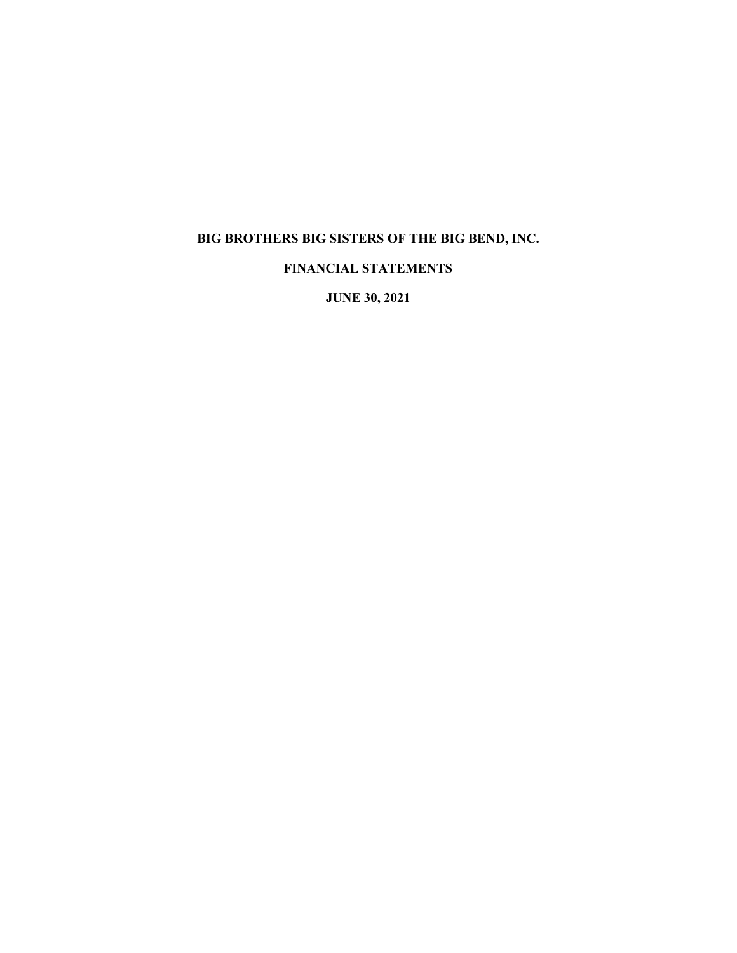# **BIG BROTHERS BIG SISTERS OF THE BIG BEND, INC.**

# **FINANCIAL STATEMENTS**

**JUNE 30, 2021**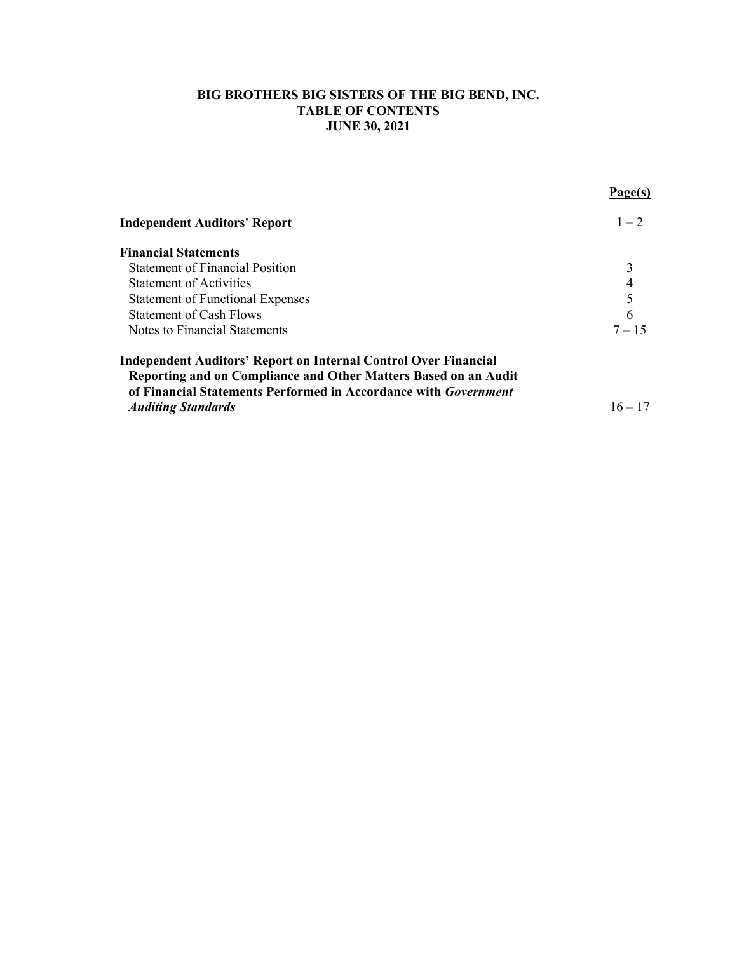# **BIG BROTHERS BIG SISTERS OF THE BIG BEND, INC. TABLE OF CONTENTS JUNE 30, 2021**

| <b>Independent Auditors' Report</b>                                    | $1 - 2$   |
|------------------------------------------------------------------------|-----------|
| <b>Financial Statements</b>                                            |           |
| <b>Statement of Financial Position</b>                                 |           |
| <b>Statement of Activities</b>                                         | 4         |
| <b>Statement of Functional Expenses</b>                                | 5         |
| <b>Statement of Cash Flows</b>                                         | 6         |
| Notes to Financial Statements                                          | $7 - 15$  |
| Independent Auditors' Report on Internal Control Over Financial        |           |
| Reporting and on Compliance and Other Matters Based on an Audit        |           |
| of Financial Statements Performed in Accordance with <i>Government</i> |           |
| <b>Auditing Standards</b>                                              | $16 - 17$ |

**Page(s)**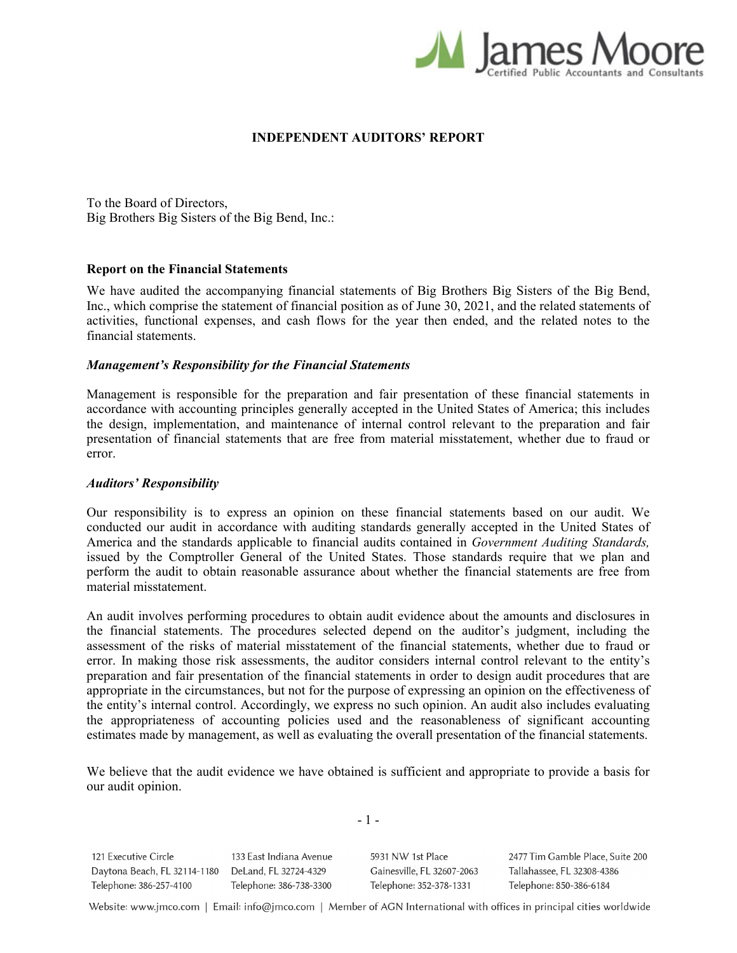

#### **INDEPENDENT AUDITORS' REPORT**

To the Board of Directors, Big Brothers Big Sisters of the Big Bend, Inc.:

#### **Report on the Financial Statements**

We have audited the accompanying financial statements of Big Brothers Big Sisters of the Big Bend, Inc., which comprise the statement of financial position as of June 30, 2021, and the related statements of activities, functional expenses, and cash flows for the year then ended, and the related notes to the financial statements.

#### *Management's Responsibility for the Financial Statements*

Management is responsible for the preparation and fair presentation of these financial statements in accordance with accounting principles generally accepted in the United States of America; this includes the design, implementation, and maintenance of internal control relevant to the preparation and fair presentation of financial statements that are free from material misstatement, whether due to fraud or error.

#### *Auditors' Responsibility*

Our responsibility is to express an opinion on these financial statements based on our audit. We conducted our audit in accordance with auditing standards generally accepted in the United States of America and the standards applicable to financial audits contained in *Government Auditing Standards,*  issued by the Comptroller General of the United States. Those standards require that we plan and perform the audit to obtain reasonable assurance about whether the financial statements are free from material misstatement.

An audit involves performing procedures to obtain audit evidence about the amounts and disclosures in the financial statements. The procedures selected depend on the auditor's judgment, including the assessment of the risks of material misstatement of the financial statements, whether due to fraud or error. In making those risk assessments, the auditor considers internal control relevant to the entity's preparation and fair presentation of the financial statements in order to design audit procedures that are appropriate in the circumstances, but not for the purpose of expressing an opinion on the effectiveness of the entity's internal control. Accordingly, we express no such opinion. An audit also includes evaluating the appropriateness of accounting policies used and the reasonableness of significant accounting estimates made by management, as well as evaluating the overall presentation of the financial statements.

We believe that the audit evidence we have obtained is sufficient and appropriate to provide a basis for our audit opinion.

 $-1 -$ 

121 Executive Circle 133 East Indiana Avenue Daytona Beach, FL 32114-1180 DeLand, FL 32724-4329 Telephone: 386-257-4100 Telephone: 386-738-3300

5931 NW 1st Place Gainesville, FL 32607-2063 Telephone: 352-378-1331

2477 Tim Gamble Place, Suite 200 Tallahassee, FL 32308-4386 Telephone: 850-386-6184

Website: www.jmco.com | Email: info@jmco.com | Member of AGN International with offices in principal cities worldwide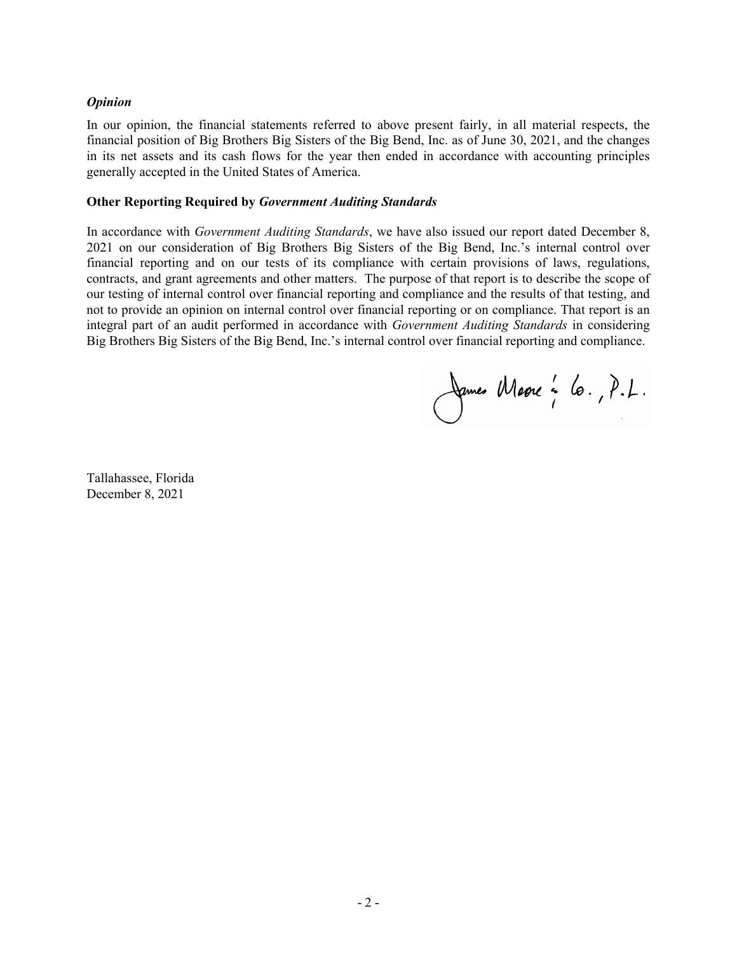### *Opinion*

In our opinion, the financial statements referred to above present fairly, in all material respects, the financial position of Big Brothers Big Sisters of the Big Bend, Inc. as of June 30, 2021, and the changes in its net assets and its cash flows for the year then ended in accordance with accounting principles generally accepted in the United States of America.

#### **Other Reporting Required by** *Government Auditing Standards*

In accordance with *Government Auditing Standards*, we have also issued our report dated December 8, 2021 on our consideration of Big Brothers Big Sisters of the Big Bend, Inc.'s internal control over financial reporting and on our tests of its compliance with certain provisions of laws, regulations, contracts, and grant agreements and other matters. The purpose of that report is to describe the scope of our testing of internal control over financial reporting and compliance and the results of that testing, and not to provide an opinion on internal control over financial reporting or on compliance. That report is an integral part of an audit performed in accordance with *Government Auditing Standards* in considering Big Brothers Big Sisters of the Big Bend, Inc.'s internal control over financial reporting and compliance.

James Marre : 6., P.L.

Tallahassee, Florida December 8, 2021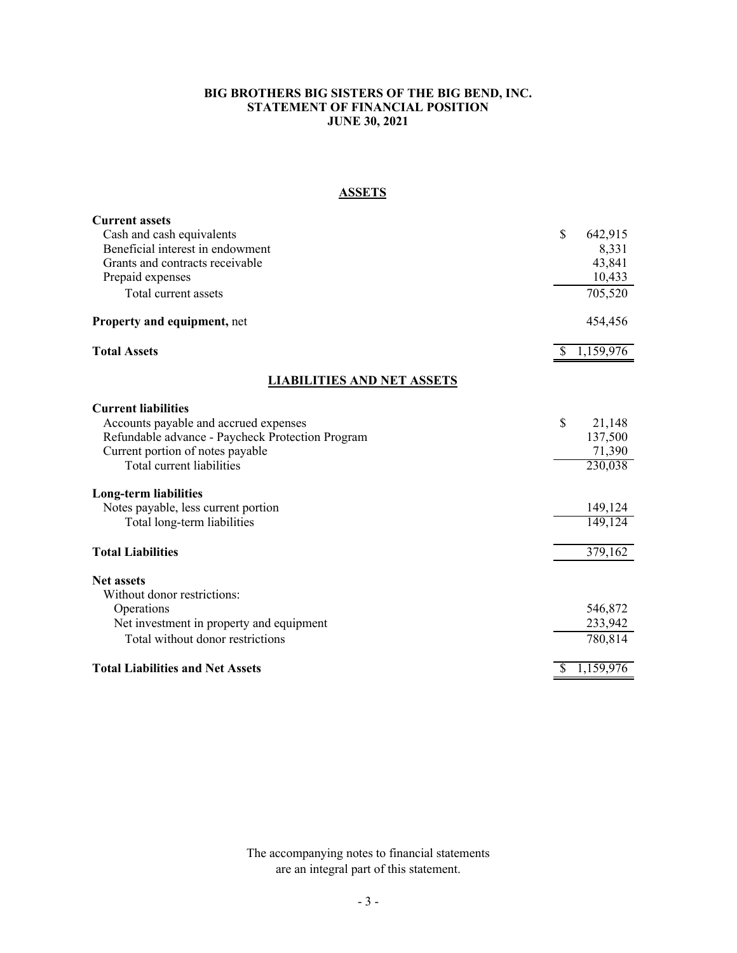#### **BIG BROTHERS BIG SISTERS OF THE BIG BEND, INC. STATEMENT OF FINANCIAL POSITION JUNE 30, 2021**

# **ASSETS**

| <b>Current assets</b>                            |    |           |
|--------------------------------------------------|----|-----------|
| Cash and cash equivalents                        | \$ | 642,915   |
| Beneficial interest in endowment                 |    | 8,331     |
| Grants and contracts receivable                  |    | 43,841    |
| Prepaid expenses                                 |    | 10,433    |
| Total current assets                             |    | 705,520   |
| <b>Property and equipment, net</b>               |    | 454,456   |
| <b>Total Assets</b>                              | S  | 1,159,976 |
| <b>LIABILITIES AND NET ASSETS</b>                |    |           |
| <b>Current liabilities</b>                       |    |           |
| Accounts payable and accrued expenses            | \$ | 21,148    |
| Refundable advance - Paycheck Protection Program |    | 137,500   |
| Current portion of notes payable                 |    | 71,390    |
| Total current liabilities                        |    | 230,038   |
| <b>Long-term liabilities</b>                     |    |           |
| Notes payable, less current portion              |    | 149,124   |
| Total long-term liabilities                      |    | 149,124   |
| <b>Total Liabilities</b>                         |    | 379,162   |
| <b>Net assets</b>                                |    |           |
| Without donor restrictions:                      |    |           |
| Operations                                       |    | 546,872   |
| Net investment in property and equipment         |    | 233,942   |
| Total without donor restrictions                 |    | 780,814   |
| <b>Total Liabilities and Net Assets</b>          |    | 1,159,976 |

The accompanying notes to financial statements are an integral part of this statement.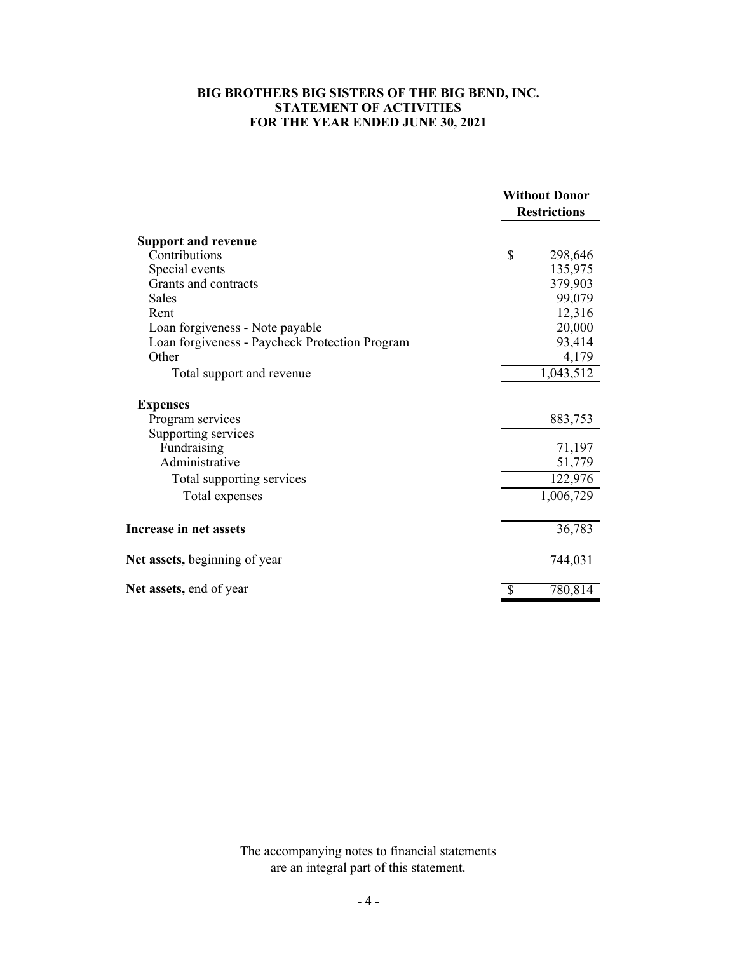#### **FOR THE YEAR ENDED JUNE 30, 2021 BIG BROTHERS BIG SISTERS OF THE BIG BEND, INC. STATEMENT OF ACTIVITIES**

|                                                | <b>Without Donor</b> |  |
|------------------------------------------------|----------------------|--|
|                                                | <b>Restrictions</b>  |  |
| <b>Support and revenue</b>                     |                      |  |
| Contributions                                  | \$<br>298,646        |  |
| Special events                                 | 135,975              |  |
| Grants and contracts                           | 379,903              |  |
| Sales                                          | 99,079               |  |
| Rent                                           | 12,316               |  |
| Loan forgiveness - Note payable                | 20,000               |  |
| Loan forgiveness - Paycheck Protection Program | 93,414               |  |
| Other                                          | 4,179                |  |
| Total support and revenue                      | 1,043,512            |  |
| <b>Expenses</b>                                |                      |  |
| Program services                               | 883,753              |  |
| Supporting services                            |                      |  |
| Fundraising                                    | 71,197               |  |
| Administrative                                 | 51,779               |  |
| Total supporting services                      | 122,976              |  |
| Total expenses                                 | 1,006,729            |  |
| Increase in net assets                         | 36,783               |  |
| Net assets, beginning of year                  | 744,031              |  |
| Net assets, end of year                        | \$<br>780,814        |  |

The accompanying notes to financial statements are an integral part of this statement.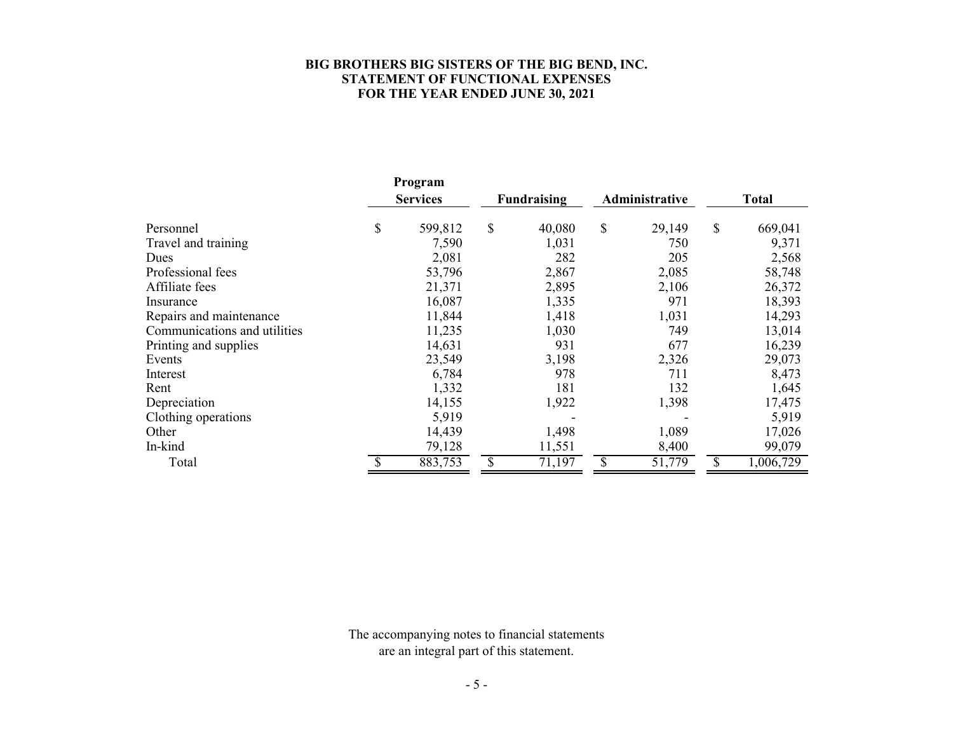### **BIG BROTHERS BIG SISTERS OF THE BIG BEND, INC. STATEMENT OF FUNCTIONAL EXPENSES FOR THE YEAR ENDED JUNE 30, 2021**

|                              | Program         |             |        |                |        |              |           |
|------------------------------|-----------------|-------------|--------|----------------|--------|--------------|-----------|
|                              | <b>Services</b> | Fundraising |        | Administrative |        | <b>Total</b> |           |
| Personnel                    | \$<br>599,812   | \$          | 40,080 | \$             | 29,149 | \$           | 669,041   |
| Travel and training          | 7,590           |             | 1,031  |                | 750    |              | 9,371     |
| Dues                         | 2,081           |             | 282    |                | 205    |              | 2,568     |
| Professional fees            | 53,796          |             | 2,867  |                | 2,085  |              | 58,748    |
| Affiliate fees               | 21,371          |             | 2,895  |                | 2,106  |              | 26,372    |
| Insurance                    | 16,087          |             | 1,335  |                | 971    |              | 18,393    |
| Repairs and maintenance      | 11,844          |             | 1,418  |                | 1,031  |              | 14,293    |
| Communications and utilities | 11,235          |             | 1,030  |                | 749    |              | 13,014    |
| Printing and supplies        | 14,631          |             | 931    |                | 677    |              | 16,239    |
| Events                       | 23,549          |             | 3,198  |                | 2,326  |              | 29,073    |
| Interest                     | 6,784           |             | 978    |                | 711    |              | 8,473     |
| Rent                         | 1,332           |             | 181    |                | 132    |              | 1,645     |
| Depreciation                 | 14,155          |             | 1,922  |                | 1,398  |              | 17,475    |
| Clothing operations          | 5,919           |             |        |                |        |              | 5,919     |
| Other                        | 14,439          |             | 1,498  |                | 1,089  |              | 17,026    |
| In-kind                      | 79,128          |             | 11,551 |                | 8,400  |              | 99,079    |
| Total                        | 883,753         | \$          | 71,197 | \$             | 51,779 | \$           | 1,006,729 |

The accompanying notes to financial statements are an integral part of this statement.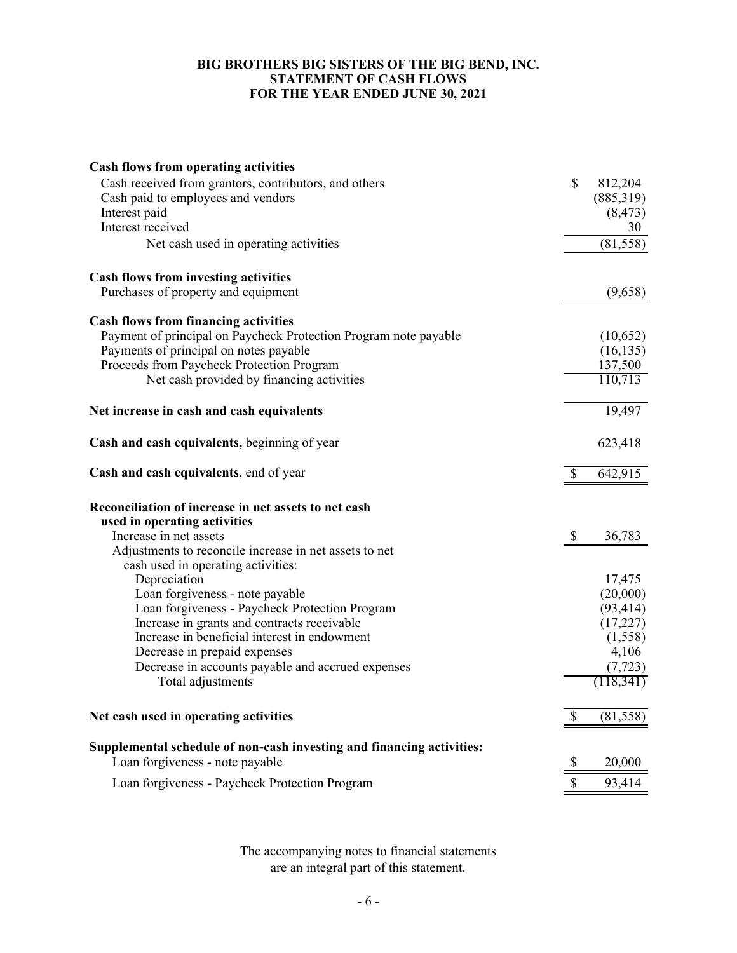# **BIG BROTHERS BIG SISTERS OF THE BIG BEND, INC. STATEMENT OF CASH FLOWS FOR THE YEAR ENDED JUNE 30, 2021**

| <b>Cash flows from operating activities</b>                           |              |           |
|-----------------------------------------------------------------------|--------------|-----------|
| Cash received from grantors, contributors, and others                 | $\mathbb{S}$ | 812,204   |
| Cash paid to employees and vendors                                    |              | (885,319) |
| Interest paid                                                         |              | (8, 473)  |
| Interest received                                                     |              | 30        |
| Net cash used in operating activities                                 |              | (81, 558) |
| Cash flows from investing activities                                  |              |           |
| Purchases of property and equipment                                   |              | (9,658)   |
| <b>Cash flows from financing activities</b>                           |              |           |
| Payment of principal on Paycheck Protection Program note payable      |              | (10,652)  |
| Payments of principal on notes payable                                |              | (16, 135) |
| Proceeds from Paycheck Protection Program                             |              | 137,500   |
| Net cash provided by financing activities                             |              | 110,713   |
| Net increase in cash and cash equivalents                             |              | 19,497    |
| Cash and cash equivalents, beginning of year                          |              | 623,418   |
| Cash and cash equivalents, end of year                                | \$           | 642,915   |
| Reconciliation of increase in net assets to net cash                  |              |           |
| used in operating activities                                          |              |           |
| Increase in net assets                                                | \$           | 36,783    |
| Adjustments to reconcile increase in net assets to net                |              |           |
| cash used in operating activities:                                    |              |           |
| Depreciation                                                          |              | 17,475    |
| Loan forgiveness - note payable                                       |              | (20,000)  |
| Loan forgiveness - Paycheck Protection Program                        |              | (93, 414) |
| Increase in grants and contracts receivable                           |              | (17,227)  |
| Increase in beneficial interest in endowment                          |              | (1,558)   |
| Decrease in prepaid expenses                                          |              | 4,106     |
| Decrease in accounts payable and accrued expenses                     |              | (7, 723)  |
| Total adjustments                                                     |              | (118,341) |
| Net cash used in operating activities                                 | \$           | (81, 558) |
| Supplemental schedule of non-cash investing and financing activities: |              |           |
| Loan forgiveness - note payable                                       | \$           | 20,000    |
| Loan forgiveness - Paycheck Protection Program                        | \$           | 93,414    |

The accompanying notes to financial statements are an integral part of this statement.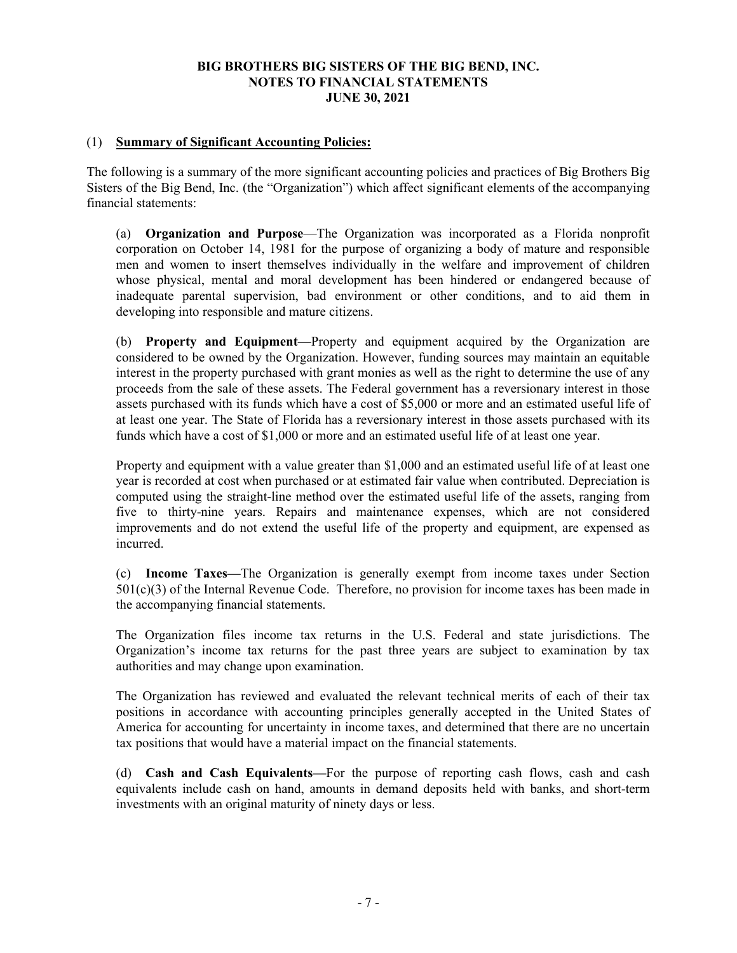# (1) **Summary of Significant Accounting Policies:**

The following is a summary of the more significant accounting policies and practices of Big Brothers Big Sisters of the Big Bend, Inc. (the "Organization") which affect significant elements of the accompanying financial statements:

(a) **Organization and Purpose**—The Organization was incorporated as a Florida nonprofit corporation on October 14, 1981 for the purpose of organizing a body of mature and responsible men and women to insert themselves individually in the welfare and improvement of children whose physical, mental and moral development has been hindered or endangered because of inadequate parental supervision, bad environment or other conditions, and to aid them in developing into responsible and mature citizens.

(b) **Property and Equipment—**Property and equipment acquired by the Organization are considered to be owned by the Organization. However, funding sources may maintain an equitable interest in the property purchased with grant monies as well as the right to determine the use of any proceeds from the sale of these assets. The Federal government has a reversionary interest in those assets purchased with its funds which have a cost of \$5,000 or more and an estimated useful life of at least one year. The State of Florida has a reversionary interest in those assets purchased with its funds which have a cost of \$1,000 or more and an estimated useful life of at least one year.

Property and equipment with a value greater than \$1,000 and an estimated useful life of at least one year is recorded at cost when purchased or at estimated fair value when contributed. Depreciation is computed using the straight-line method over the estimated useful life of the assets, ranging from five to thirty-nine years. Repairs and maintenance expenses, which are not considered improvements and do not extend the useful life of the property and equipment, are expensed as incurred.

(c) **Income Taxes—**The Organization is generally exempt from income taxes under Section 501(c)(3) of the Internal Revenue Code. Therefore, no provision for income taxes has been made in the accompanying financial statements.

The Organization files income tax returns in the U.S. Federal and state jurisdictions. The Organization's income tax returns for the past three years are subject to examination by tax authorities and may change upon examination.

The Organization has reviewed and evaluated the relevant technical merits of each of their tax positions in accordance with accounting principles generally accepted in the United States of America for accounting for uncertainty in income taxes, and determined that there are no uncertain tax positions that would have a material impact on the financial statements.

(d) **Cash and Cash Equivalents—**For the purpose of reporting cash flows, cash and cash equivalents include cash on hand, amounts in demand deposits held with banks, and short-term investments with an original maturity of ninety days or less.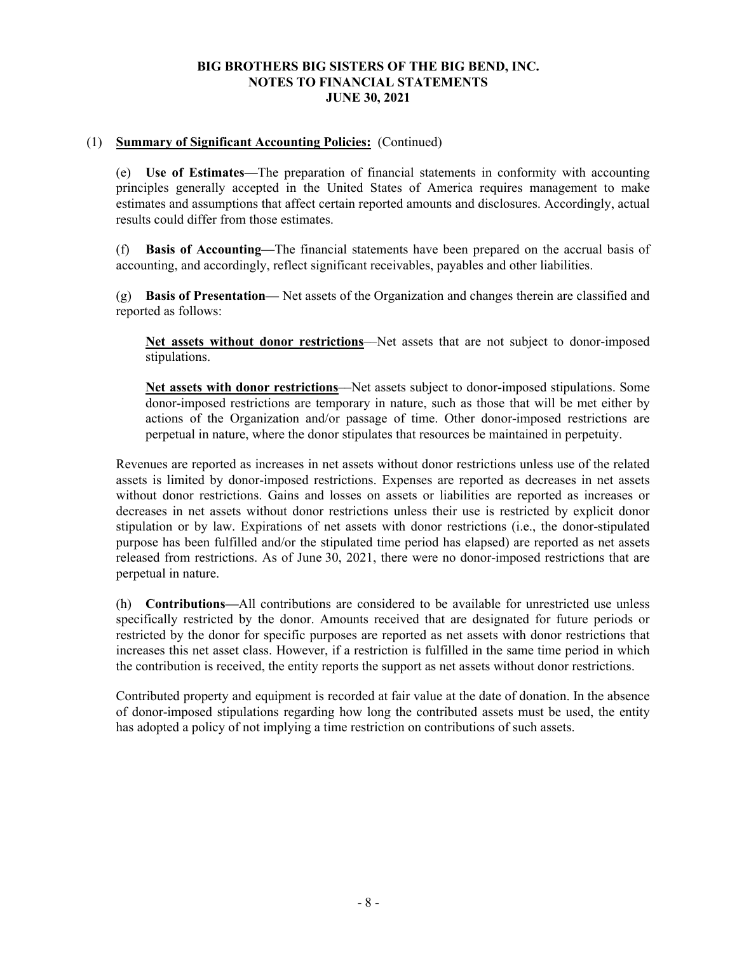# (1) **Summary of Significant Accounting Policies:** (Continued)

(e) **Use of Estimates—**The preparation of financial statements in conformity with accounting principles generally accepted in the United States of America requires management to make estimates and assumptions that affect certain reported amounts and disclosures. Accordingly, actual results could differ from those estimates.

(f) **Basis of Accounting—**The financial statements have been prepared on the accrual basis of accounting, and accordingly, reflect significant receivables, payables and other liabilities.

(g) **Basis of Presentation—** Net assets of the Organization and changes therein are classified and reported as follows:

**Net assets without donor restrictions**––Net assets that are not subject to donor-imposed stipulations.

**Net assets with donor restrictions**––Net assets subject to donor-imposed stipulations. Some donor-imposed restrictions are temporary in nature, such as those that will be met either by actions of the Organization and/or passage of time. Other donor-imposed restrictions are perpetual in nature, where the donor stipulates that resources be maintained in perpetuity.

Revenues are reported as increases in net assets without donor restrictions unless use of the related assets is limited by donor-imposed restrictions. Expenses are reported as decreases in net assets without donor restrictions. Gains and losses on assets or liabilities are reported as increases or decreases in net assets without donor restrictions unless their use is restricted by explicit donor stipulation or by law. Expirations of net assets with donor restrictions (i.e., the donor-stipulated purpose has been fulfilled and/or the stipulated time period has elapsed) are reported as net assets released from restrictions. As of June 30, 2021, there were no donor-imposed restrictions that are perpetual in nature.

(h) **Contributions—**All contributions are considered to be available for unrestricted use unless specifically restricted by the donor. Amounts received that are designated for future periods or restricted by the donor for specific purposes are reported as net assets with donor restrictions that increases this net asset class. However, if a restriction is fulfilled in the same time period in which the contribution is received, the entity reports the support as net assets without donor restrictions.

Contributed property and equipment is recorded at fair value at the date of donation. In the absence of donor-imposed stipulations regarding how long the contributed assets must be used, the entity has adopted a policy of not implying a time restriction on contributions of such assets.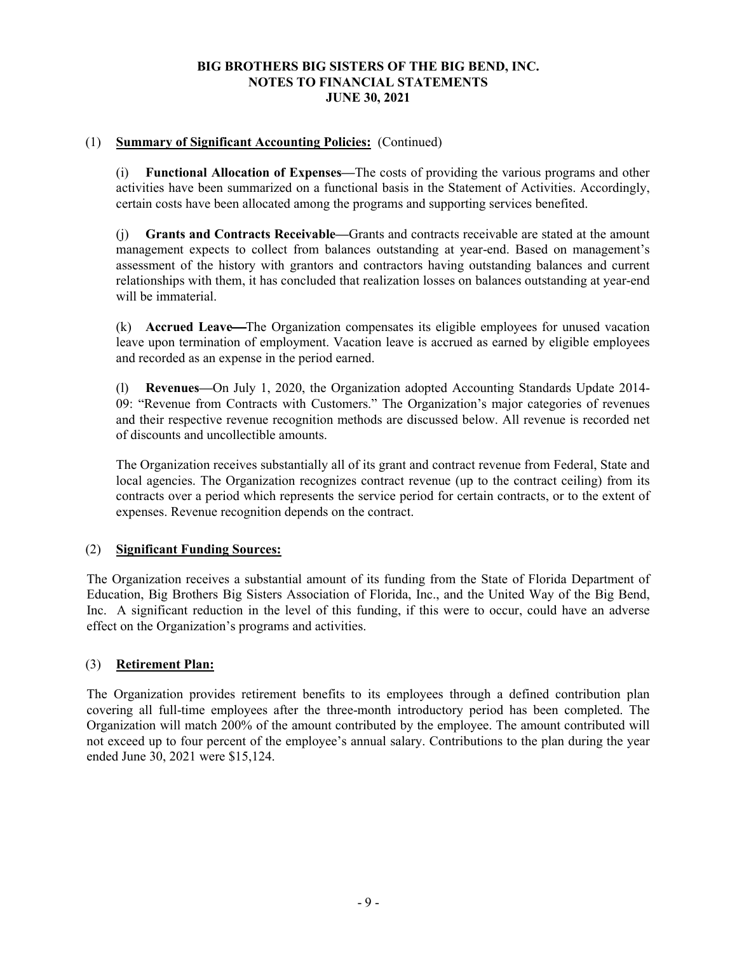# (1) **Summary of Significant Accounting Policies:** (Continued)

(i) **Functional Allocation of Expenses—**The costs of providing the various programs and other activities have been summarized on a functional basis in the Statement of Activities. Accordingly, certain costs have been allocated among the programs and supporting services benefited.

(j) **Grants and Contracts Receivable—**Grants and contracts receivable are stated at the amount management expects to collect from balances outstanding at year-end. Based on management's assessment of the history with grantors and contractors having outstanding balances and current relationships with them, it has concluded that realization losses on balances outstanding at year-end will be immaterial.

(k) **Accrued Leave—**The Organization compensates its eligible employees for unused vacation leave upon termination of employment. Vacation leave is accrued as earned by eligible employees and recorded as an expense in the period earned.

(l) **Revenues—**On July 1, 2020, the Organization adopted Accounting Standards Update 2014- 09: "Revenue from Contracts with Customers." The Organization's major categories of revenues and their respective revenue recognition methods are discussed below. All revenue is recorded net of discounts and uncollectible amounts.

The Organization receives substantially all of its grant and contract revenue from Federal, State and local agencies. The Organization recognizes contract revenue (up to the contract ceiling) from its contracts over a period which represents the service period for certain contracts, or to the extent of expenses. Revenue recognition depends on the contract.

# (2) **Significant Funding Sources:**

The Organization receives a substantial amount of its funding from the State of Florida Department of Education, Big Brothers Big Sisters Association of Florida, Inc., and the United Way of the Big Bend, Inc. A significant reduction in the level of this funding, if this were to occur, could have an adverse effect on the Organization's programs and activities.

# (3) **Retirement Plan:**

The Organization provides retirement benefits to its employees through a defined contribution plan covering all full-time employees after the three-month introductory period has been completed. The Organization will match 200% of the amount contributed by the employee. The amount contributed will not exceed up to four percent of the employee's annual salary. Contributions to the plan during the year ended June 30, 2021 were \$15,124.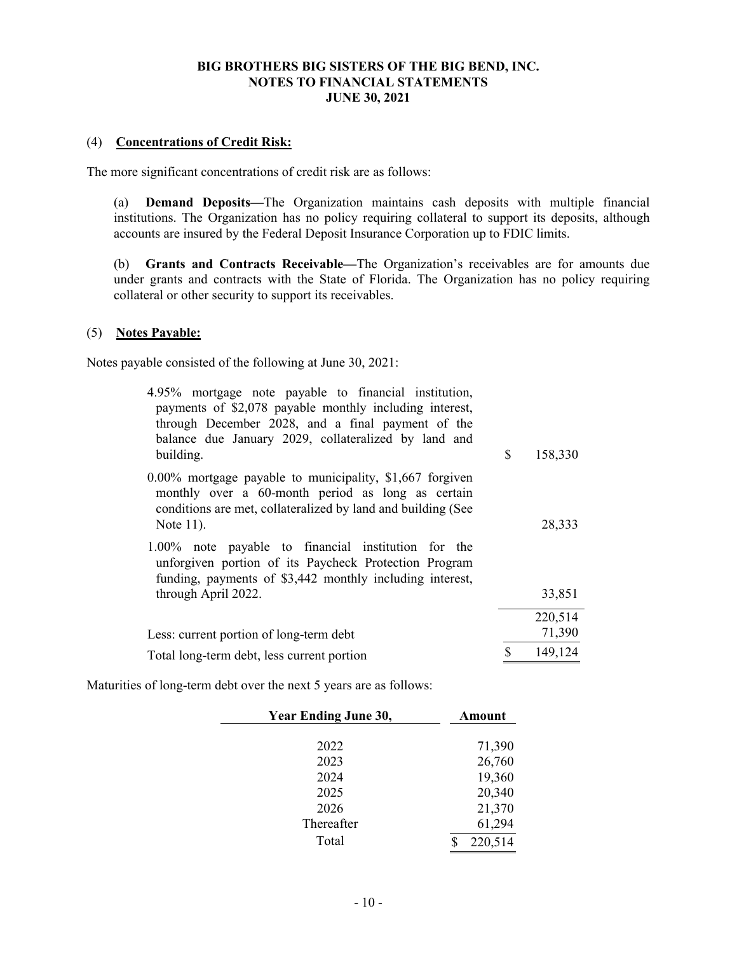#### (4) **Concentrations of Credit Risk:**

The more significant concentrations of credit risk are as follows:

(a) **Demand Deposits—**The Organization maintains cash deposits with multiple financial institutions. The Organization has no policy requiring collateral to support its deposits, although accounts are insured by the Federal Deposit Insurance Corporation up to FDIC limits.

(b) **Grants and Contracts Receivable—**The Organization's receivables are for amounts due under grants and contracts with the State of Florida. The Organization has no policy requiring collateral or other security to support its receivables.

#### (5) **Notes Payable:**

Notes payable consisted of the following at June 30, 2021:

| 4.95% mortgage note payable to financial institution,<br>payments of \$2,078 payable monthly including interest,<br>through December 2028, and a final payment of the<br>balance due January 2029, collateralized by land and<br>building. | \$<br>158,330 |
|--------------------------------------------------------------------------------------------------------------------------------------------------------------------------------------------------------------------------------------------|---------------|
| $0.00\%$ mortgage payable to municipality, \$1,667 forgiven<br>monthly over a 60-month period as long as certain<br>conditions are met, collateralized by land and building (See<br>Note 11).                                              | 28,333        |
| 1.00% note payable to financial institution for the<br>unforgiven portion of its Paycheck Protection Program<br>funding, payments of \$3,442 monthly including interest,<br>through April 2022.                                            | 33,851        |
|                                                                                                                                                                                                                                            | 220,514       |
| Less: current portion of long-term debt                                                                                                                                                                                                    | 71,390        |
| Total long-term debt, less current portion                                                                                                                                                                                                 | \$<br>149,124 |

Maturities of long-term debt over the next 5 years are as follows:

| <b>Year Ending June 30,</b> | Amount  |  |
|-----------------------------|---------|--|
| 2022                        | 71,390  |  |
| 2023                        | 26,760  |  |
| 2024                        | 19,360  |  |
| 2025                        | 20,340  |  |
| 2026                        | 21,370  |  |
| Thereafter                  | 61,294  |  |
| Total                       | 220,514 |  |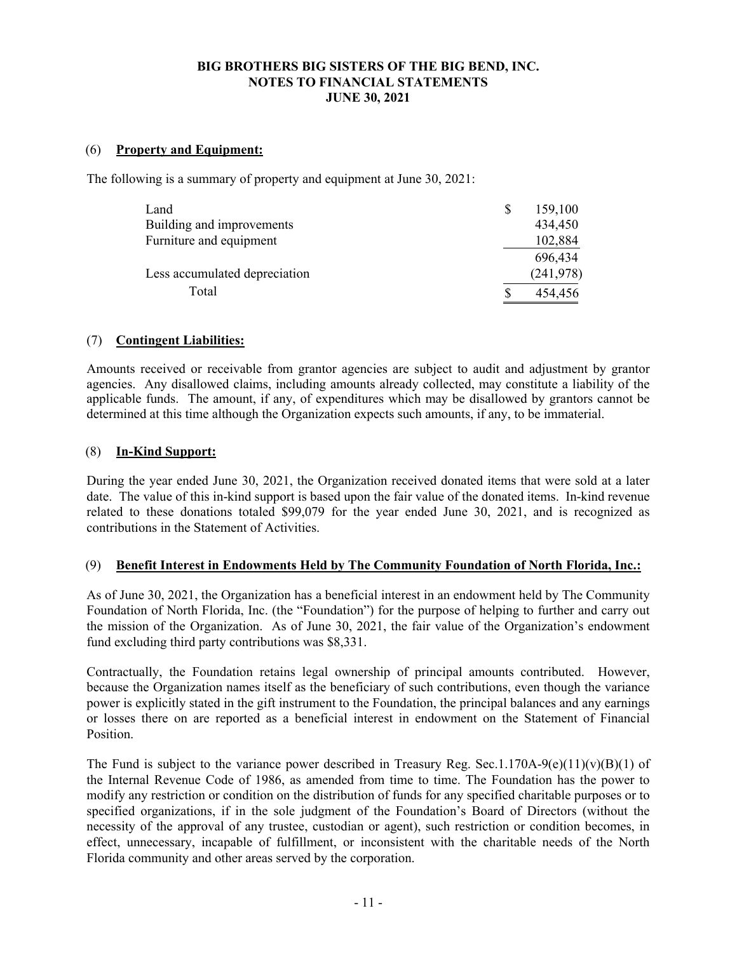### (6) **Property and Equipment:**

The following is a summary of property and equipment at June 30, 2021:

| Land                          | 159,100    |
|-------------------------------|------------|
| Building and improvements     | 434,450    |
| Furniture and equipment       | 102,884    |
|                               | 696,434    |
| Less accumulated depreciation | (241, 978) |
| Total                         | 454,456    |

### (7) **Contingent Liabilities:**

Amounts received or receivable from grantor agencies are subject to audit and adjustment by grantor agencies. Any disallowed claims, including amounts already collected, may constitute a liability of the applicable funds. The amount, if any, of expenditures which may be disallowed by grantors cannot be determined at this time although the Organization expects such amounts, if any, to be immaterial.

#### (8) **In-Kind Support:**

During the year ended June 30, 2021, the Organization received donated items that were sold at a later date. The value of this in-kind support is based upon the fair value of the donated items. In-kind revenue related to these donations totaled \$99,079 for the year ended June 30, 2021, and is recognized as contributions in the Statement of Activities.

#### (9) **Benefit Interest in Endowments Held by The Community Foundation of North Florida, Inc.:**

As of June 30, 2021, the Organization has a beneficial interest in an endowment held by The Community Foundation of North Florida, Inc. (the "Foundation") for the purpose of helping to further and carry out the mission of the Organization. As of June 30, 2021, the fair value of the Organization's endowment fund excluding third party contributions was \$8,331.

Contractually, the Foundation retains legal ownership of principal amounts contributed. However, because the Organization names itself as the beneficiary of such contributions, even though the variance power is explicitly stated in the gift instrument to the Foundation, the principal balances and any earnings or losses there on are reported as a beneficial interest in endowment on the Statement of Financial Position.

The Fund is subject to the variance power described in Treasury Reg. Sec.1.170A-9(e)(11)(v)(B)(1) of the Internal Revenue Code of 1986, as amended from time to time. The Foundation has the power to modify any restriction or condition on the distribution of funds for any specified charitable purposes or to specified organizations, if in the sole judgment of the Foundation's Board of Directors (without the necessity of the approval of any trustee, custodian or agent), such restriction or condition becomes, in effect, unnecessary, incapable of fulfillment, or inconsistent with the charitable needs of the North Florida community and other areas served by the corporation.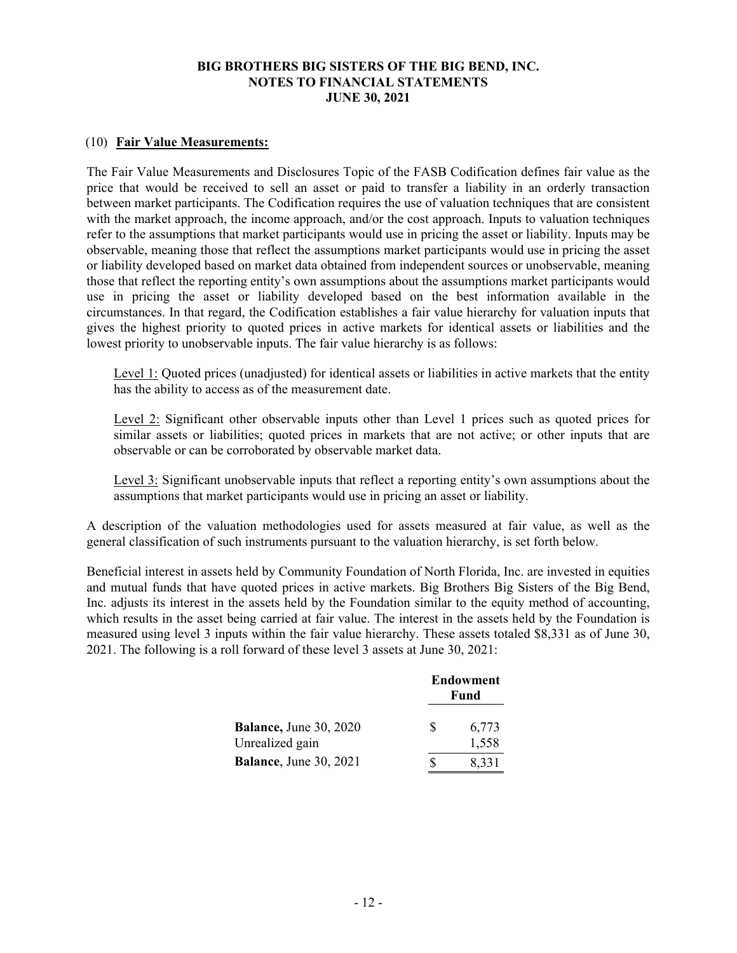### (10) **Fair Value Measurements:**

The Fair Value Measurements and Disclosures Topic of the FASB Codification defines fair value as the price that would be received to sell an asset or paid to transfer a liability in an orderly transaction between market participants. The Codification requires the use of valuation techniques that are consistent with the market approach, the income approach, and/or the cost approach. Inputs to valuation techniques refer to the assumptions that market participants would use in pricing the asset or liability. Inputs may be observable, meaning those that reflect the assumptions market participants would use in pricing the asset or liability developed based on market data obtained from independent sources or unobservable, meaning those that reflect the reporting entity's own assumptions about the assumptions market participants would use in pricing the asset or liability developed based on the best information available in the circumstances. In that regard, the Codification establishes a fair value hierarchy for valuation inputs that gives the highest priority to quoted prices in active markets for identical assets or liabilities and the lowest priority to unobservable inputs. The fair value hierarchy is as follows:

Level 1: Quoted prices (unadjusted) for identical assets or liabilities in active markets that the entity has the ability to access as of the measurement date.

Level 2: Significant other observable inputs other than Level 1 prices such as quoted prices for similar assets or liabilities; quoted prices in markets that are not active; or other inputs that are observable or can be corroborated by observable market data.

Level 3: Significant unobservable inputs that reflect a reporting entity's own assumptions about the assumptions that market participants would use in pricing an asset or liability.

A description of the valuation methodologies used for assets measured at fair value, as well as the general classification of such instruments pursuant to the valuation hierarchy, is set forth below.

Beneficial interest in assets held by Community Foundation of North Florida, Inc. are invested in equities and mutual funds that have quoted prices in active markets. Big Brothers Big Sisters of the Big Bend, Inc. adjusts its interest in the assets held by the Foundation similar to the equity method of accounting, which results in the asset being carried at fair value. The interest in the assets held by the Foundation is measured using level 3 inputs within the fair value hierarchy. These assets totaled \$8,331 as of June 30, 2021. The following is a roll forward of these level 3 assets at June 30, 2021:

|                                                   | <b>Endowment</b><br>Fund |                |
|---------------------------------------------------|--------------------------|----------------|
| <b>Balance</b> , June 30, 2020<br>Unrealized gain | S                        | 6,773<br>1,558 |
| <b>Balance</b> , June 30, 2021                    |                          | 8,331          |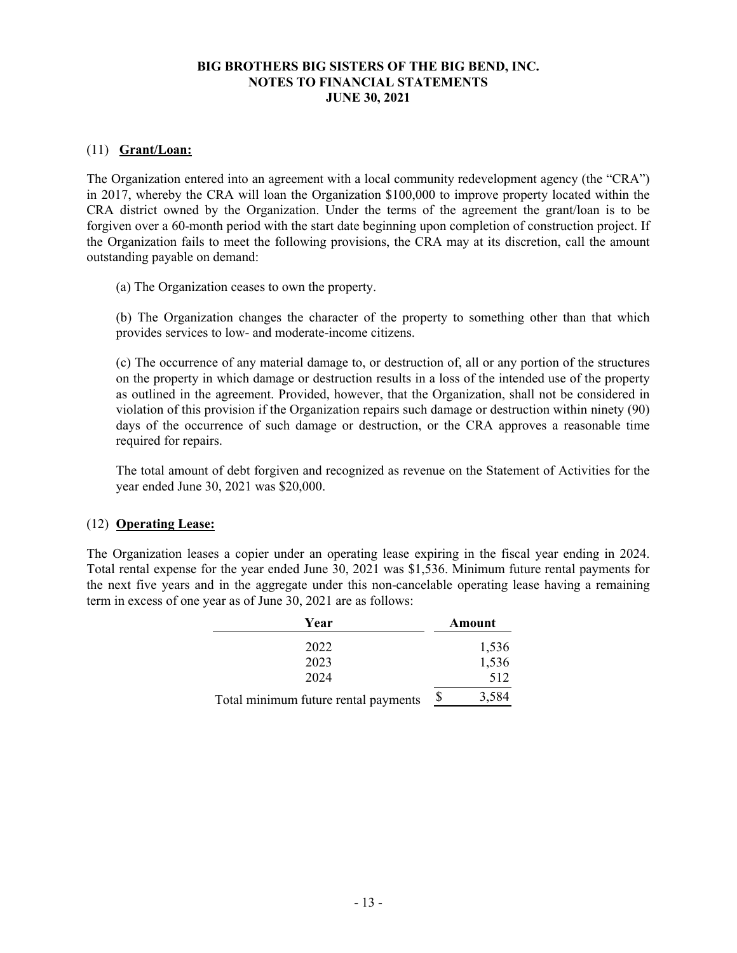# (11) **Grant/Loan:**

The Organization entered into an agreement with a local community redevelopment agency (the "CRA") in 2017, whereby the CRA will loan the Organization \$100,000 to improve property located within the CRA district owned by the Organization. Under the terms of the agreement the grant/loan is to be forgiven over a 60-month period with the start date beginning upon completion of construction project. If the Organization fails to meet the following provisions, the CRA may at its discretion, call the amount outstanding payable on demand:

(a) The Organization ceases to own the property.

(b) The Organization changes the character of the property to something other than that which provides services to low- and moderate-income citizens.

(c) The occurrence of any material damage to, or destruction of, all or any portion of the structures on the property in which damage or destruction results in a loss of the intended use of the property as outlined in the agreement. Provided, however, that the Organization, shall not be considered in violation of this provision if the Organization repairs such damage or destruction within ninety (90) days of the occurrence of such damage or destruction, or the CRA approves a reasonable time required for repairs.

The total amount of debt forgiven and recognized as revenue on the Statement of Activities for the year ended June 30, 2021 was \$20,000.

#### (12) **Operating Lease:**

The Organization leases a copier under an operating lease expiring in the fiscal year ending in 2024. Total rental expense for the year ended June 30, 2021 was \$1,536. Minimum future rental payments for the next five years and in the aggregate under this non-cancelable operating lease having a remaining term in excess of one year as of June 30, 2021 are as follows:

| Year                                 |  | Amount |
|--------------------------------------|--|--------|
| 2022                                 |  | 1,536  |
| 2023                                 |  | 1,536  |
| 2024                                 |  | 512    |
| Total minimum future rental payments |  | 3,584  |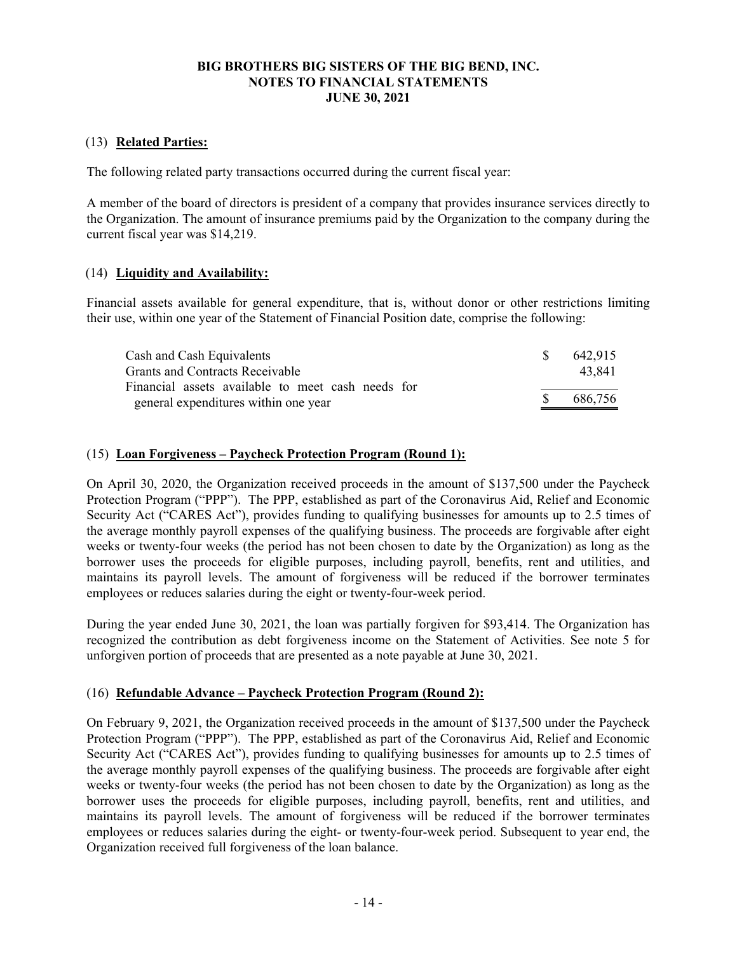# (13) **Related Parties:**

The following related party transactions occurred during the current fiscal year:

A member of the board of directors is president of a company that provides insurance services directly to the Organization. The amount of insurance premiums paid by the Organization to the company during the current fiscal year was \$14,219.

# (14) **Liquidity and Availability:**

Financial assets available for general expenditure, that is, without donor or other restrictions limiting their use, within one year of the Statement of Financial Position date, comprise the following:

| Cash and Cash Equivalents<br>Grants and Contracts Receivable                              | -SS          | 642.915<br>43.841 |
|-------------------------------------------------------------------------------------------|--------------|-------------------|
| Financial assets available to meet cash needs for<br>general expenditures within one year | <sup>S</sup> | 686.756           |

# (15) **Loan Forgiveness – Paycheck Protection Program (Round 1):**

On April 30, 2020, the Organization received proceeds in the amount of \$137,500 under the Paycheck Protection Program ("PPP"). The PPP, established as part of the Coronavirus Aid, Relief and Economic Security Act ("CARES Act"), provides funding to qualifying businesses for amounts up to 2.5 times of the average monthly payroll expenses of the qualifying business. The proceeds are forgivable after eight weeks or twenty-four weeks (the period has not been chosen to date by the Organization) as long as the borrower uses the proceeds for eligible purposes, including payroll, benefits, rent and utilities, and maintains its payroll levels. The amount of forgiveness will be reduced if the borrower terminates employees or reduces salaries during the eight or twenty-four-week period.

During the year ended June 30, 2021, the loan was partially forgiven for \$93,414. The Organization has recognized the contribution as debt forgiveness income on the Statement of Activities. See note 5 for unforgiven portion of proceeds that are presented as a note payable at June 30, 2021.

# (16) **Refundable Advance – Paycheck Protection Program (Round 2):**

On February 9, 2021, the Organization received proceeds in the amount of \$137,500 under the Paycheck Protection Program ("PPP"). The PPP, established as part of the Coronavirus Aid, Relief and Economic Security Act ("CARES Act"), provides funding to qualifying businesses for amounts up to 2.5 times of the average monthly payroll expenses of the qualifying business. The proceeds are forgivable after eight weeks or twenty-four weeks (the period has not been chosen to date by the Organization) as long as the borrower uses the proceeds for eligible purposes, including payroll, benefits, rent and utilities, and maintains its payroll levels. The amount of forgiveness will be reduced if the borrower terminates employees or reduces salaries during the eight- or twenty-four-week period. Subsequent to year end, the Organization received full forgiveness of the loan balance.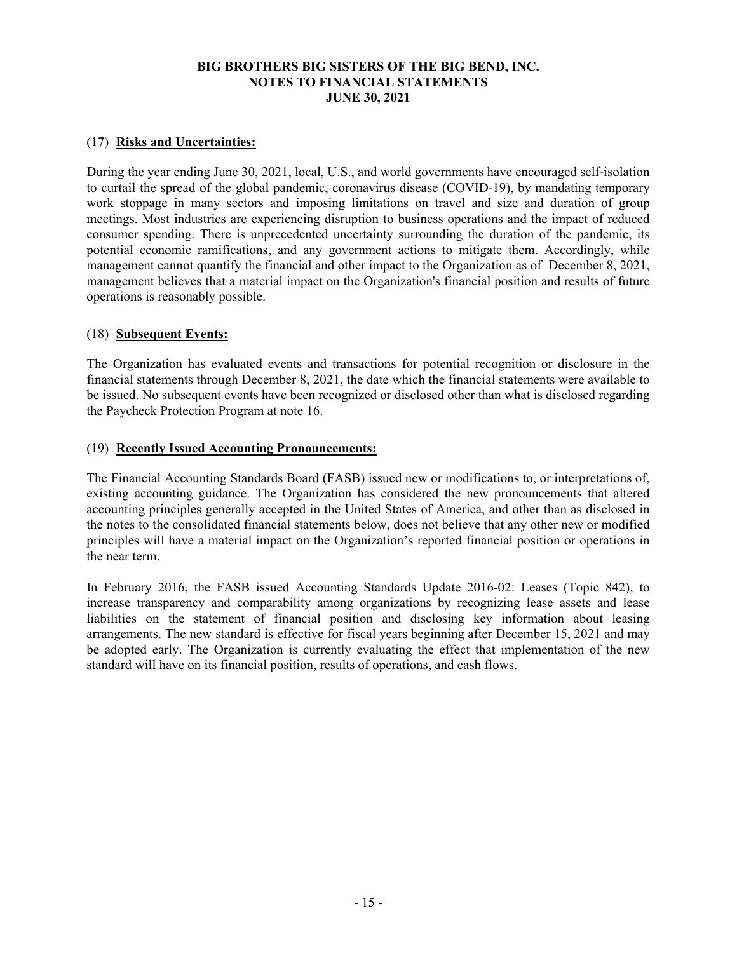# (17) **Risks and Uncertainties:**

During the year ending June 30, 2021, local, U.S., and world governments have encouraged self-isolation to curtail the spread of the global pandemic, coronavirus disease (COVID-19), by mandating temporary work stoppage in many sectors and imposing limitations on travel and size and duration of group meetings. Most industries are experiencing disruption to business operations and the impact of reduced consumer spending. There is unprecedented uncertainty surrounding the duration of the pandemic, its potential economic ramifications, and any government actions to mitigate them. Accordingly, while management cannot quantify the financial and other impact to the Organization as of December 8, 2021, management believes that a material impact on the Organization's financial position and results of future operations is reasonably possible.

### (18) **Subsequent Events:**

The Organization has evaluated events and transactions for potential recognition or disclosure in the financial statements through December 8, 2021, the date which the financial statements were available to be issued. No subsequent events have been recognized or disclosed other than what is disclosed regarding the Paycheck Protection Program at note 16.

#### (19) **Recently Issued Accounting Pronouncements:**

The Financial Accounting Standards Board (FASB) issued new or modifications to, or interpretations of, existing accounting guidance. The Organization has considered the new pronouncements that altered accounting principles generally accepted in the United States of America, and other than as disclosed in the notes to the consolidated financial statements below, does not believe that any other new or modified principles will have a material impact on the Organization's reported financial position or operations in the near term.

In February 2016, the FASB issued Accounting Standards Update 2016-02: Leases (Topic 842), to increase transparency and comparability among organizations by recognizing lease assets and lease liabilities on the statement of financial position and disclosing key information about leasing arrangements. The new standard is effective for fiscal years beginning after December 15, 2021 and may be adopted early. The Organization is currently evaluating the effect that implementation of the new standard will have on its financial position, results of operations, and cash flows.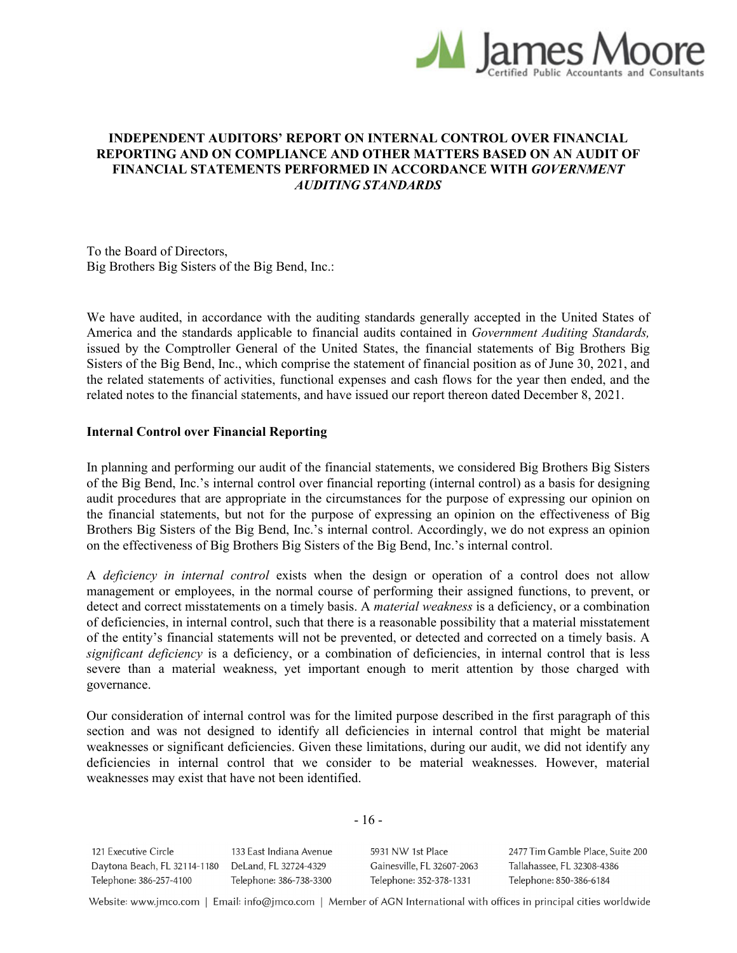

# **INDEPENDENT AUDITORS' REPORT ON INTERNAL CONTROL OVER FINANCIAL REPORTING AND ON COMPLIANCE AND OTHER MATTERS BASED ON AN AUDIT OF FINANCIAL STATEMENTS PERFORMED IN ACCORDANCE WITH** *GOVERNMENT AUDITING STANDARDS*

To the Board of Directors, Big Brothers Big Sisters of the Big Bend, Inc.:

We have audited, in accordance with the auditing standards generally accepted in the United States of America and the standards applicable to financial audits contained in *Government Auditing Standards,*  issued by the Comptroller General of the United States, the financial statements of Big Brothers Big Sisters of the Big Bend, Inc., which comprise the statement of financial position as of June 30, 2021, and the related statements of activities, functional expenses and cash flows for the year then ended, and the related notes to the financial statements, and have issued our report thereon dated December 8, 2021.

#### **Internal Control over Financial Reporting**

In planning and performing our audit of the financial statements, we considered Big Brothers Big Sisters of the Big Bend, Inc.'s internal control over financial reporting (internal control) as a basis for designing audit procedures that are appropriate in the circumstances for the purpose of expressing our opinion on the financial statements, but not for the purpose of expressing an opinion on the effectiveness of Big Brothers Big Sisters of the Big Bend, Inc.'s internal control. Accordingly, we do not express an opinion on the effectiveness of Big Brothers Big Sisters of the Big Bend, Inc.'s internal control.

A *deficiency in internal control* exists when the design or operation of a control does not allow management or employees, in the normal course of performing their assigned functions, to prevent, or detect and correct misstatements on a timely basis. A *material weakness* is a deficiency, or a combination of deficiencies, in internal control, such that there is a reasonable possibility that a material misstatement of the entity's financial statements will not be prevented, or detected and corrected on a timely basis. A *significant deficiency* is a deficiency, or a combination of deficiencies, in internal control that is less severe than a material weakness, yet important enough to merit attention by those charged with governance.

Our consideration of internal control was for the limited purpose described in the first paragraph of this section and was not designed to identify all deficiencies in internal control that might be material weaknesses or significant deficiencies. Given these limitations, during our audit, we did not identify any deficiencies in internal control that we consider to be material weaknesses. However, material weaknesses may exist that have not been identified.

- 16 -

121 Executive Circle 133 East Indiana Avenue Daytona Beach, FL 32114-1180 DeLand, FL 32724-4329 Telephone: 386-257-4100 Telephone: 386-738-3300

5931 NW 1st Place Gainesville, FL 32607-2063 Telephone: 352-378-1331

2477 Tim Gamble Place, Suite 200 Tallahassee, FL 32308-4386 Telephone: 850-386-6184

Website: www.jmco.com | Email: info@jmco.com | Member of AGN International with offices in principal cities worldwide